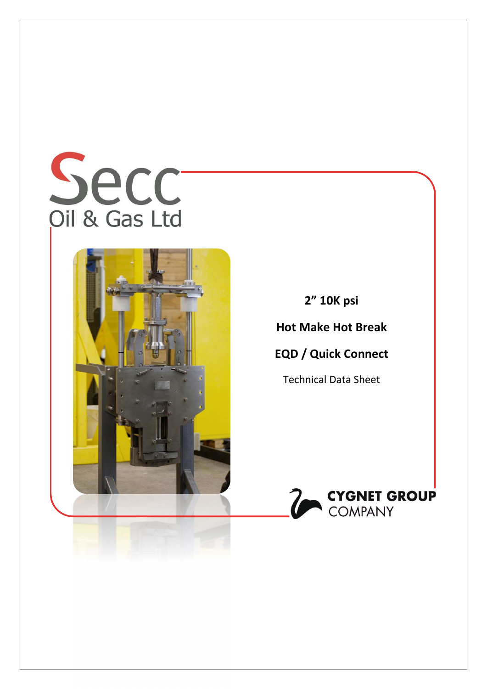



2" 10K psi

Hot Make Hot Break

# EQD / Quick Connect

Technical Data Sheet

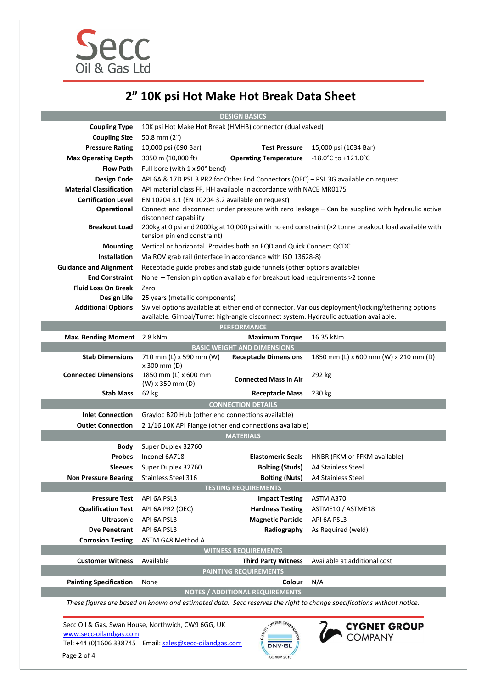

# 2" 10K psi Hot Make Hot Break Data Sheet

DESIGN BASICS

|                                       |                                                                                                                                                               | <b>DESIGN DASILS</b>                                                     |                                                                                                                       |  |
|---------------------------------------|---------------------------------------------------------------------------------------------------------------------------------------------------------------|--------------------------------------------------------------------------|-----------------------------------------------------------------------------------------------------------------------|--|
| <b>Coupling Type</b>                  | 10K psi Hot Make Hot Break (HMHB) connector (dual valved)                                                                                                     |                                                                          |                                                                                                                       |  |
| <b>Coupling Size</b>                  | 50.8 mm $(2")$                                                                                                                                                |                                                                          |                                                                                                                       |  |
| <b>Pressure Rating</b>                | 10,000 psi (690 Bar)                                                                                                                                          | <b>Test Pressure</b>                                                     | 15,000 psi (1034 Bar)                                                                                                 |  |
| <b>Max Operating Depth</b>            | 3050 m (10,000 ft)                                                                                                                                            | <b>Operating Temperature</b>                                             | $-18.0^{\circ}$ C to $+121.0^{\circ}$ C                                                                               |  |
| <b>Flow Path</b>                      | Full bore (with 1 x 90° bend)                                                                                                                                 |                                                                          |                                                                                                                       |  |
| <b>Design Code</b>                    | API 6A & 17D PSL 3 PR2 for Other End Connectors (OEC) - PSL 3G available on request                                                                           |                                                                          |                                                                                                                       |  |
| <b>Material Classification</b>        | API material class FF, HH available in accordance with NACE MR0175                                                                                            |                                                                          |                                                                                                                       |  |
| <b>Certification Level</b>            | EN 10204 3.1 (EN 10204 3.2 available on request)                                                                                                              |                                                                          |                                                                                                                       |  |
| <b>Operational</b>                    |                                                                                                                                                               |                                                                          | Connect and disconnect under pressure with zero leakage - Can be supplied with hydraulic active                       |  |
| <b>Breakout Load</b>                  | disconnect capability<br>200kg at 0 psi and 2000kg at 10,000 psi with no end constraint (>2 tonne breakout load available with<br>tension pin end constraint) |                                                                          |                                                                                                                       |  |
| <b>Mounting</b>                       | Vertical or horizontal. Provides both an EQD and Quick Connect QCDC                                                                                           |                                                                          |                                                                                                                       |  |
| <b>Installation</b>                   |                                                                                                                                                               | Via ROV grab rail (interface in accordance with ISO 13628-8)             |                                                                                                                       |  |
| <b>Guidance and Alignment</b>         |                                                                                                                                                               | Receptacle guide probes and stab guide funnels (other options available) |                                                                                                                       |  |
| <b>End Constraint</b>                 | None - Tension pin option available for breakout load requirements >2 tonne                                                                                   |                                                                          |                                                                                                                       |  |
| <b>Fluid Loss On Break</b>            | Zero                                                                                                                                                          |                                                                          |                                                                                                                       |  |
| Design Life                           | 25 years (metallic components)                                                                                                                                |                                                                          |                                                                                                                       |  |
| <b>Additional Options</b>             | Swivel options available at either end of connector. Various deployment/locking/tethering options                                                             |                                                                          |                                                                                                                       |  |
|                                       | available. Gimbal/Turret high-angle disconnect system. Hydraulic actuation available.                                                                         |                                                                          |                                                                                                                       |  |
|                                       | <b>PERFORMANCE</b>                                                                                                                                            |                                                                          |                                                                                                                       |  |
| <b>Max. Bending Moment</b>            | 2.8 kNm                                                                                                                                                       | <b>Maximum Torque</b>                                                    | 16.35 kNm                                                                                                             |  |
|                                       |                                                                                                                                                               | <b>BASIC WEIGHT AND DIMENSIONS</b>                                       |                                                                                                                       |  |
| <b>Stab Dimensions</b>                | 710 mm (L) x 590 mm (W)<br>x 300 mm (D)                                                                                                                       | <b>Receptacle Dimensions</b>                                             | 1850 mm (L) x 600 mm (W) x 210 mm (D)                                                                                 |  |
| <b>Connected Dimensions</b>           | 1850 mm (L) x 600 mm<br>(W) x 350 mm (D)                                                                                                                      | <b>Connected Mass in Air</b>                                             | 292 kg                                                                                                                |  |
| <b>Stab Mass</b>                      | 62 kg                                                                                                                                                         | <b>Receptacle Mass</b>                                                   | 230 kg                                                                                                                |  |
| <b>CONNECTION DETAILS</b>             |                                                                                                                                                               |                                                                          |                                                                                                                       |  |
| <b>Inlet Connection</b>               | Grayloc B20 Hub (other end connections available)                                                                                                             |                                                                          |                                                                                                                       |  |
| <b>Outlet Connection</b>              |                                                                                                                                                               | 2 1/16 10K API Flange (other end connections available)                  |                                                                                                                       |  |
| <b>MATERIALS</b>                      |                                                                                                                                                               |                                                                          |                                                                                                                       |  |
| <b>Body</b>                           | Super Duplex 32760                                                                                                                                            |                                                                          |                                                                                                                       |  |
| <b>Probes</b>                         | Inconel 6A718                                                                                                                                                 | <b>Elastomeric Seals</b>                                                 | HNBR (FKM or FFKM available)                                                                                          |  |
| <b>Sleeves</b>                        | Super Duplex 32760                                                                                                                                            | <b>Bolting (Studs)</b>                                                   | A4 Stainless Steel                                                                                                    |  |
| <b>Non Pressure Bearing</b>           | <b>Stainless Steel 316</b>                                                                                                                                    |                                                                          |                                                                                                                       |  |
| <b>TESTING REQUIREMENTS</b>           |                                                                                                                                                               |                                                                          |                                                                                                                       |  |
|                                       |                                                                                                                                                               | <b>Bolting (Nuts)</b>                                                    | A4 Stainless Steel                                                                                                    |  |
| <b>Pressure Test</b>                  | API 6A PSL3                                                                                                                                                   | <b>Impact Testing</b>                                                    | ASTM A370                                                                                                             |  |
| <b>Qualification Test</b>             |                                                                                                                                                               |                                                                          | ASTME10 / ASTME18                                                                                                     |  |
| <b>Ultrasonic</b>                     | API 6A PR2 (OEC)<br>API 6A PSL3                                                                                                                               | <b>Hardness Testing</b>                                                  | API 6A PSL3                                                                                                           |  |
| <b>Dye Penetrant</b>                  | API 6A PSL3                                                                                                                                                   | <b>Magnetic Particle</b><br>Radiography                                  | As Required (weld)                                                                                                    |  |
|                                       | ASTM G48 Method A                                                                                                                                             |                                                                          |                                                                                                                       |  |
| <b>Corrosion Testing</b>              |                                                                                                                                                               | <b>WITNESS REQUIREMENTS</b>                                              |                                                                                                                       |  |
| <b>Customer Witness</b>               | Available                                                                                                                                                     |                                                                          | Available at additional cost                                                                                          |  |
|                                       |                                                                                                                                                               | <b>Third Party Witness</b><br><b>PAINTING REQUIREMENTS</b>               |                                                                                                                       |  |
|                                       | None                                                                                                                                                          | Colour                                                                   |                                                                                                                       |  |
| <b>Painting Specification</b>         |                                                                                                                                                               |                                                                          | N/A                                                                                                                   |  |
|                                       |                                                                                                                                                               | <b>NOTES / ADDITIONAL REQUIREMENTS</b>                                   | These figures are based on known and estimated data. Secc reserves the right to change specifications without notice. |  |
| www.secc-oilandgas.com<br>Page 2 of 4 | Secc Oil & Gas, Swan House, Northwich, CW9 6GG, UK<br>Tel: +44 (0)1606 338745    Email: sales@secc-oilandgas.com                                              | <b>AT SYSTEM CERTIA</b><br><b>DNV-GI</b>                                 | <b>CYGNET GROUP</b><br><b>COMPANY</b>                                                                                 |  |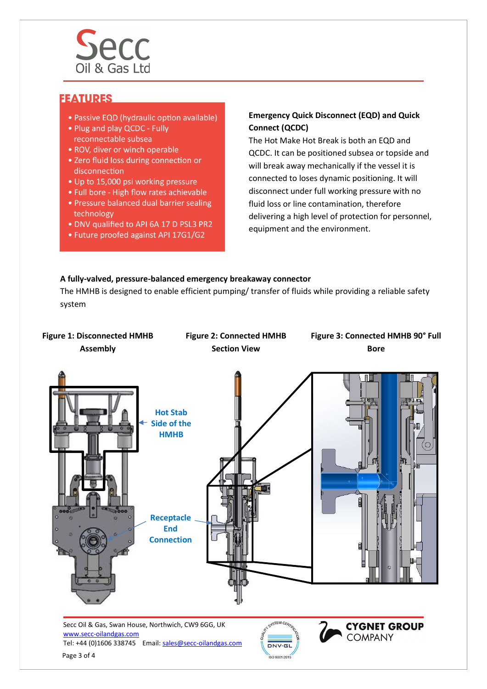

# **FEATURES**

- Passive EQD (hydraulic option available)
- Plug and play QCDC Fully reconnectable subsea
- ROV, diver or winch operable
- . Zero fluid loss during connection or disconnection
- Up to 15,000 psi working pressure
- . Full bore High flow rates achievable
- . Pressure balanced dual barrier sealing technology
- . DNV qualified to API 6A 17 D PSL3 PR2
- Future proofed against API 17G1/G2

### Emergency Quick Disconnect (EQD) and Quick Connect (QCDC)

The Hot Make Hot Break is both an EQD and QCDC. It can be positioned subsea or topside and will break away mechanically if the vessel it is connected to loses dynamic positioning. It will disconnect under full working pressure with no fluid loss or line contamination, therefore delivering a high level of protection for personnel, equipment and the environment.

#### A fully-valved, pressure-balanced emergency breakaway connector

The HMHB is designed to enable efficient pumping/ transfer of fluids while providing a reliable safety system